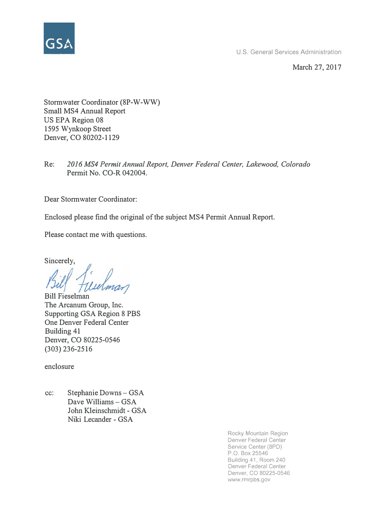

U.S. General Services Administration

March 27, 2017

Stormwater Coordinator (8P-W-WW) Small MS4 Annual Report US EPA Region 08 1595 Wynkoop Street Denver, CO 80202-1129

Re: *2016 MS4 Permit Annual Report, Denver Federal Center, Lakewood, Colorado*  Permit No. CO-R 042004.

Dear Stormwater Coordinator:

Enclosed please find the original of the subject MS4 Permit Annual Report.

Please contact me with questions.

Sincerely,

Bill Fieselman The Arcanum Group, Inc. Supporting GSA Region 8 PBS One Denver Federal Center Building 41 Denver, CO 80225-0546 (303) 236-2516

enclosure

cc: Stephanie Downs - GSA Dave Williams - GSA John Kleinschmidt - GSA Niki Lecander - GSA

> Rocky Mountain Region Denver Federal Center Service Center (8PD) P.O. Box 25546 Building 41, Room 240 Denver Federal Center Denver, CO 80225-0546 www.rmrpbs.gov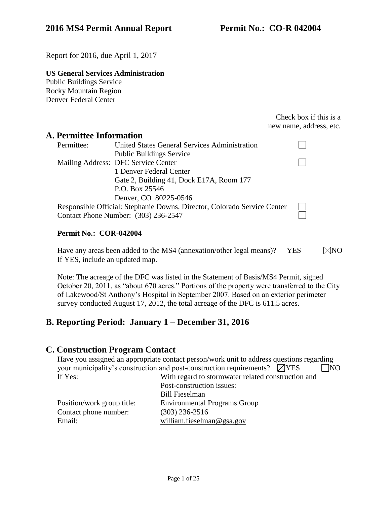Report for 2016, due April 1, 2017

# **US General Services Administration**

Public Buildings Service Rocky Mountain Region Denver Federal Center

> Check box if this is a new name, address, etc.

# **A. Permittee Information**

| Permittee:                                                               | <b>United States General Services Administration</b> |  |
|--------------------------------------------------------------------------|------------------------------------------------------|--|
|                                                                          | <b>Public Buildings Service</b>                      |  |
|                                                                          | Mailing Address: DFC Service Center                  |  |
|                                                                          | 1 Denver Federal Center                              |  |
|                                                                          | Gate 2, Building 41, Dock E17A, Room 177             |  |
|                                                                          | P.O. Box 25546                                       |  |
|                                                                          | Denver, CO 80225-0546                                |  |
| Responsible Official: Stephanie Downs, Director, Colorado Service Center |                                                      |  |
|                                                                          | Contact Phone Number: (303) 236-2547                 |  |

#### **Permit No.: COR-042004**

Have any areas been added to the MS4 (annexation/other legal means)?  $\Box$ YES If YES, include an updated map.  $\nabla$ NO

Note: The acreage of the DFC was listed in the Statement of Basis/MS4 Permit, signed October 20, 2011, as "about 670 acres." Portions of the property were transferred to the City of Lakewood/St Anthony's Hospital in September 2007. Based on an exterior perimeter survey conducted August 17, 2012, the total acreage of the DFC is 611.5 acres.

# **B. Reporting Period: January 1 – December 31, 2016**

## **C. Construction Program Contact**

Have you assigned an appropriate contact person/work unit to address questions regarding your municipality's construction and post-construction requirements?  $\boxtimes$ YES  $\Box$ NO If Yes: With regard to stormwater related construction and Post-construction issues:

Contact phone number: (303) 236-2516

Bill Fieselman Position/work group title: Environmental Programs Group Email: [william.fieselman@gsa.gov](mailto:william.fieselman@gsa.gov)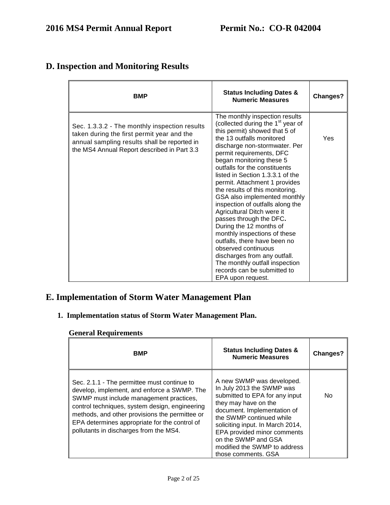| <b>BMP</b>                                                                                                                                                                                 | <b>Status Including Dates &amp;</b><br><b>Numeric Measures</b>                                                                                                                                                                                                                                                                                                                                                                                                                                                                                                                                                                                                                                                                                       | Changes? |
|--------------------------------------------------------------------------------------------------------------------------------------------------------------------------------------------|------------------------------------------------------------------------------------------------------------------------------------------------------------------------------------------------------------------------------------------------------------------------------------------------------------------------------------------------------------------------------------------------------------------------------------------------------------------------------------------------------------------------------------------------------------------------------------------------------------------------------------------------------------------------------------------------------------------------------------------------------|----------|
| Sec. 1.3.3.2 - The monthly inspection results<br>taken during the first permit year and the<br>annual sampling results shall be reported in<br>the MS4 Annual Report described in Part 3.3 | The monthly inspection results<br>(collected during the 1 <sup>st</sup> year of<br>this permit) showed that 5 of<br>the 13 outfalls monitored<br>discharge non-stormwater. Per<br>permit requirements, DFC<br>began monitoring these 5<br>outfalls for the constituents<br>listed in Section 1.3.3.1 of the<br>permit. Attachment 1 provides<br>the results of this monitoring.<br>GSA also implemented monthly<br>inspection of outfalls along the<br>Agricultural Ditch were it<br>passes through the DFC.<br>During the 12 months of<br>monthly inspections of these<br>outfalls, there have been no<br>observed continuous<br>discharges from any outfall.<br>The monthly outfall inspection<br>records can be submitted to<br>EPA upon request. | Yes      |

# **D. Inspection and Monitoring Results**

# **E. Implementation of Storm Water Management Plan**

# **1. Implementation status of Storm Water Management Plan.**

## **General Requirements**

| <b>BMP</b>                                                                                                                                                                                                                                                                                                                           | <b>Status Including Dates &amp;</b><br><b>Numeric Measures</b>                                                                                                                                                                                                                                                               | <b>Changes?</b> |
|--------------------------------------------------------------------------------------------------------------------------------------------------------------------------------------------------------------------------------------------------------------------------------------------------------------------------------------|------------------------------------------------------------------------------------------------------------------------------------------------------------------------------------------------------------------------------------------------------------------------------------------------------------------------------|-----------------|
| Sec. 2.1.1 - The permittee must continue to<br>develop, implement, and enforce a SWMP. The<br>SWMP must include management practices,<br>control techniques, system design, engineering<br>methods, and other provisions the permittee or<br>EPA determines appropriate for the control of<br>pollutants in discharges from the MS4. | A new SWMP was developed.<br>In July 2013 the SWMP was<br>submitted to EPA for any input<br>they may have on the<br>document. Implementation of<br>the SWMP continued while<br>soliciting input. In March 2014,<br>EPA provided minor comments<br>on the SWMP and GSA<br>modified the SWMP to address<br>those comments, GSA | No.             |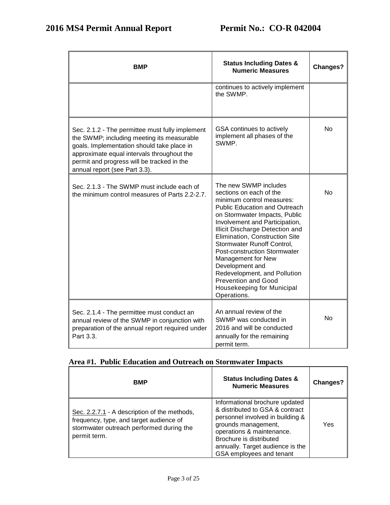| <b>BMP</b>                                                                                                                                                                                                                                                               | <b>Status Including Dates &amp;</b><br><b>Numeric Measures</b>                                                                                                                                                                                                                                                                                                                                                                                                                  | Changes?  |
|--------------------------------------------------------------------------------------------------------------------------------------------------------------------------------------------------------------------------------------------------------------------------|---------------------------------------------------------------------------------------------------------------------------------------------------------------------------------------------------------------------------------------------------------------------------------------------------------------------------------------------------------------------------------------------------------------------------------------------------------------------------------|-----------|
|                                                                                                                                                                                                                                                                          | continues to actively implement<br>the SWMP.                                                                                                                                                                                                                                                                                                                                                                                                                                    |           |
| Sec. 2.1.2 - The permittee must fully implement<br>the SWMP; including meeting its measurable<br>goals. Implementation should take place in<br>approximate equal intervals throughout the<br>permit and progress will be tracked in the<br>annual report (see Part 3.3). | GSA continues to actively<br>implement all phases of the<br>SWMP.                                                                                                                                                                                                                                                                                                                                                                                                               | <b>No</b> |
| Sec. 2.1.3 - The SWMP must include each of<br>the minimum control measures of Parts 2.2-2.7.                                                                                                                                                                             | The new SWMP includes<br>sections on each of the<br>minimum control measures:<br><b>Public Education and Outreach</b><br>on Stormwater Impacts, Public<br>Involvement and Participation,<br>Illicit Discharge Detection and<br>Elimination, Construction Site<br>Stormwater Runoff Control,<br>Post-construction Stormwater<br>Management for New<br>Development and<br>Redevelopment, and Pollution<br><b>Prevention and Good</b><br>Housekeeping for Municipal<br>Operations. | <b>No</b> |
| Sec. 2.1.4 - The permittee must conduct an<br>annual review of the SWMP in conjunction with<br>preparation of the annual report required under<br>Part 3.3.                                                                                                              | An annual review of the<br>SWMP was conducted in<br>2016 and will be conducted<br>annually for the remaining<br>permit term.                                                                                                                                                                                                                                                                                                                                                    | No        |

## **Area #1. Public Education and Outreach on Stormwater Impacts**

| <b>BMP</b>                                                                                                                                          | <b>Status Including Dates &amp;</b><br><b>Numeric Measures</b>                                                                                                                                                                                       | Changes? |
|-----------------------------------------------------------------------------------------------------------------------------------------------------|------------------------------------------------------------------------------------------------------------------------------------------------------------------------------------------------------------------------------------------------------|----------|
| Sec. 2.2.7.1 - A description of the methods,<br>frequency, type, and target audience of<br>stormwater outreach performed during the<br>permit term. | Informational brochure updated<br>& distributed to GSA & contract<br>personnel involved in building &<br>grounds management,<br>operations & maintenance.<br>Brochure is distributed<br>annually. Target audience is the<br>GSA employees and tenant | Yes      |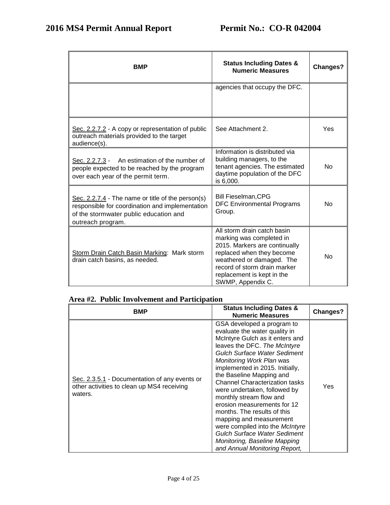| <b>BMP</b>                                                                                                                                                          | <b>Status Including Dates &amp;</b><br><b>Numeric Measures</b>                                                                                                                                                                        | <b>Changes?</b> |
|---------------------------------------------------------------------------------------------------------------------------------------------------------------------|---------------------------------------------------------------------------------------------------------------------------------------------------------------------------------------------------------------------------------------|-----------------|
|                                                                                                                                                                     | agencies that occupy the DFC.                                                                                                                                                                                                         |                 |
| Sec. 2.2.7.2 - A copy or representation of public<br>outreach materials provided to the target<br>audience(s).                                                      | See Attachment 2.                                                                                                                                                                                                                     | Yes             |
| Sec. 2.2.7.3 - An estimation of the number of<br>people expected to be reached by the program<br>over each year of the permit term.                                 | Information is distributed via<br>building managers, to the<br>tenant agencies. The estimated<br>daytime population of the DFC<br>is 6,000.                                                                                           | No              |
| Sec. 2.2.7.4 - The name or title of the person(s)<br>responsible for coordination and implementation<br>of the stormwater public education and<br>outreach program. | <b>Bill Fieselman, CPG</b><br><b>DFC Environmental Programs</b><br>Group.                                                                                                                                                             | No              |
| Storm Drain Catch Basin Marking: Mark storm<br>drain catch basins, as needed.                                                                                       | All storm drain catch basin<br>marking was completed in<br>2015. Markers are continually<br>replaced when they become<br>weathered or damaged. The<br>record of storm drain marker<br>replacement is kept in the<br>SWMP, Appendix C. | <b>No</b>       |

## **Area #2. Public Involvement and Participation**

| BMP                                                                                                    | <b>Status Including Dates &amp;</b><br><b>Numeric Measures</b>                                                                                                                                                                                                                                                                                                                                                                                                                                                                                                                                           | <b>Changes?</b> |
|--------------------------------------------------------------------------------------------------------|----------------------------------------------------------------------------------------------------------------------------------------------------------------------------------------------------------------------------------------------------------------------------------------------------------------------------------------------------------------------------------------------------------------------------------------------------------------------------------------------------------------------------------------------------------------------------------------------------------|-----------------|
| Sec. 2.3.5.1 - Documentation of any events or<br>other activities to clean up MS4 receiving<br>waters. | GSA developed a program to<br>evaluate the water quality in<br>McIntyre Gulch as it enters and<br>leaves the DFC. The McIntyre<br><b>Gulch Surface Water Sediment</b><br>Monitoring Work Plan was<br>implemented in 2015. Initially,<br>the Baseline Mapping and<br><b>Channel Characterization tasks</b><br>were undertaken, followed by<br>monthly stream flow and<br>erosion measurements for 12<br>months. The results of this<br>mapping and measurement<br>were compiled into the McIntyre<br><b>Gulch Surface Water Sediment</b><br>Monitoring, Baseline Mapping<br>and Annual Monitoring Report, | Yes             |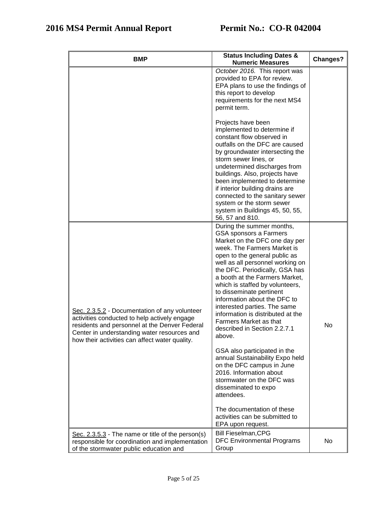| <b>BMP</b>                                                                                                                                                                                                                                      | <b>Status Including Dates &amp;</b><br><b>Numeric Measures</b>                                                                                                                                                                                                                                                                                                                                                                                                                                                                                                                                                                                                                                                                                                     | Changes? |
|-------------------------------------------------------------------------------------------------------------------------------------------------------------------------------------------------------------------------------------------------|--------------------------------------------------------------------------------------------------------------------------------------------------------------------------------------------------------------------------------------------------------------------------------------------------------------------------------------------------------------------------------------------------------------------------------------------------------------------------------------------------------------------------------------------------------------------------------------------------------------------------------------------------------------------------------------------------------------------------------------------------------------------|----------|
|                                                                                                                                                                                                                                                 | October 2016. This report was<br>provided to EPA for review.<br>EPA plans to use the findings of<br>this report to develop<br>requirements for the next MS4<br>permit term.                                                                                                                                                                                                                                                                                                                                                                                                                                                                                                                                                                                        |          |
|                                                                                                                                                                                                                                                 | Projects have been<br>implemented to determine if<br>constant flow observed in<br>outfalls on the DFC are caused<br>by groundwater intersecting the<br>storm sewer lines, or<br>undetermined discharges from<br>buildings. Also, projects have<br>been implemented to determine<br>if interior building drains are<br>connected to the sanitary sewer<br>system or the storm sewer<br>system in Buildings 45, 50, 55,<br>56, 57 and 810.                                                                                                                                                                                                                                                                                                                           |          |
| Sec. 2.3.5.2 - Documentation of any volunteer<br>activities conducted to help actively engage<br>residents and personnel at the Denver Federal<br>Center in understanding water resources and<br>how their activities can affect water quality. | During the summer months,<br>GSA sponsors a Farmers<br>Market on the DFC one day per<br>week. The Farmers Market is<br>open to the general public as<br>well as all personnel working on<br>the DFC. Periodically, GSA has<br>a booth at the Farmers Market,<br>which is staffed by volunteers,<br>to disseminate pertinent<br>information about the DFC to<br>interested parties. The same<br>information is distributed at the<br>Farmers Market as that<br>described in Section 2.2.7.1<br>above.<br>GSA also participated in the<br>annual Sustainability Expo held<br>on the DFC campus in June<br>2016. Information about<br>stormwater on the DFC was<br>disseminated to expo<br>attendees.<br>The documentation of these<br>activities can be submitted to | No       |
| Sec. $2.3.5.3$ - The name or title of the person(s)<br>responsible for coordination and implementation<br>of the stormwater public education and                                                                                                | EPA upon request.<br><b>Bill Fieselman, CPG</b><br><b>DFC Environmental Programs</b><br>Group                                                                                                                                                                                                                                                                                                                                                                                                                                                                                                                                                                                                                                                                      | No.      |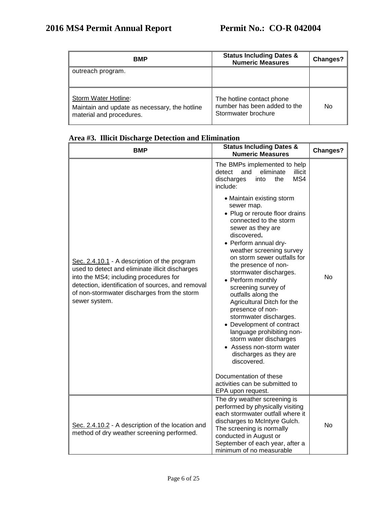| <b>BMP</b>                                                                                        | <b>Status Including Dates &amp;</b><br><b>Numeric Measures</b>                   | Changes? |
|---------------------------------------------------------------------------------------------------|----------------------------------------------------------------------------------|----------|
| outreach program.                                                                                 |                                                                                  |          |
| Storm Water Hotline:<br>Maintain and update as necessary, the hotline<br>material and procedures. | The hotline contact phone<br>number has been added to the<br>Stormwater brochure | No       |

| <b>BMP</b>                                                                                                                                                                                                                                                     | <b>Status Including Dates &amp;</b><br><b>Numeric Measures</b>                                                                                                                                                                                                                                                                                                                                                                                                                                                                                                                                                                                                                                                | Changes?  |
|----------------------------------------------------------------------------------------------------------------------------------------------------------------------------------------------------------------------------------------------------------------|---------------------------------------------------------------------------------------------------------------------------------------------------------------------------------------------------------------------------------------------------------------------------------------------------------------------------------------------------------------------------------------------------------------------------------------------------------------------------------------------------------------------------------------------------------------------------------------------------------------------------------------------------------------------------------------------------------------|-----------|
| Sec. 2.4.10.1 - A description of the program<br>used to detect and eliminate illicit discharges<br>into the MS4; including procedures for<br>detection, identification of sources, and removal<br>of non-stormwater discharges from the storm<br>sewer system. | The BMPs implemented to help<br>eliminate<br>detect<br>and<br>illicit<br>MS4<br>discharges<br>the<br>into<br>include:<br>• Maintain existing storm<br>sewer map.<br>• Plug or reroute floor drains<br>connected to the storm<br>sewer as they are<br>discovered.<br>• Perform annual dry-<br>weather screening survey<br>on storm sewer outfalls for<br>the presence of non-<br>stormwater discharges.<br>• Perform monthly<br>screening survey of<br>outfalls along the<br>Agricultural Ditch for the<br>presence of non-<br>stormwater discharges.<br>• Development of contract<br>language prohibiting non-<br>storm water discharges<br>• Assess non-storm water<br>discharges as they are<br>discovered. | <b>No</b> |
|                                                                                                                                                                                                                                                                | Documentation of these<br>activities can be submitted to<br>EPA upon request.                                                                                                                                                                                                                                                                                                                                                                                                                                                                                                                                                                                                                                 |           |
| Sec. 2.4.10.2 - A description of the location and<br>method of dry weather screening performed.                                                                                                                                                                | The dry weather screening is<br>performed by physically visiting<br>each stormwater outfall where it<br>discharges to McIntyre Gulch.<br>The screening is normally<br>conducted in August or<br>September of each year, after a<br>minimum of no measurable                                                                                                                                                                                                                                                                                                                                                                                                                                                   | <b>No</b> |

# **Area #3. Illicit Discharge Detection and Elimination**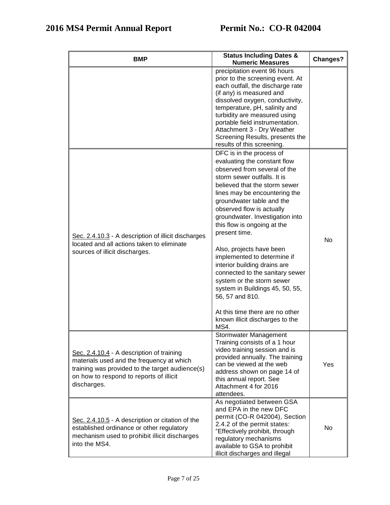| <b>BMP</b>                                                                                                                                                                                          | <b>Status Including Dates &amp;</b><br><b>Numeric Measures</b>                                                                                                                                                                                                                                                                                                                                                                                                                                                                                                                                                                        | Changes?  |
|-----------------------------------------------------------------------------------------------------------------------------------------------------------------------------------------------------|---------------------------------------------------------------------------------------------------------------------------------------------------------------------------------------------------------------------------------------------------------------------------------------------------------------------------------------------------------------------------------------------------------------------------------------------------------------------------------------------------------------------------------------------------------------------------------------------------------------------------------------|-----------|
|                                                                                                                                                                                                     | precipitation event 96 hours<br>prior to the screening event. At<br>each outfall, the discharge rate<br>(if any) is measured and<br>dissolved oxygen, conductivity,<br>temperature, pH, salinity and<br>turbidity are measured using<br>portable field instrumentation.<br>Attachment 3 - Dry Weather<br>Screening Results, presents the<br>results of this screening.                                                                                                                                                                                                                                                                |           |
| Sec. 2.4.10.3 - A description of illicit discharges<br>located and all actions taken to eliminate<br>sources of illicit discharges.                                                                 | DFC is in the process of<br>evaluating the constant flow<br>observed from several of the<br>storm sewer outfalls. It is<br>believed that the storm sewer<br>lines may be encountering the<br>groundwater table and the<br>observed flow is actually<br>groundwater. Investigation into<br>this flow is ongoing at the<br>present time.<br>Also, projects have been<br>implemented to determine if<br>interior building drains are<br>connected to the sanitary sewer<br>system or the storm sewer<br>system in Buildings 45, 50, 55,<br>56, 57 and 810.<br>At this time there are no other<br>known illicit discharges to the<br>MS4. | <b>No</b> |
| Sec. 2.4.10.4 - A description of training<br>materials used and the frequency at which<br>training was provided to the target audience(s)<br>on how to respond to reports of illicit<br>discharges. | Stormwater Management<br>Training consists of a 1 hour<br>video training session and is<br>provided annually. The training<br>can be viewed at the web<br>address shown on page 14 of<br>this annual report. See<br>Attachment 4 for 2016<br>attendees.                                                                                                                                                                                                                                                                                                                                                                               | Yes       |
| Sec. 2.4.10.5 - A description or citation of the<br>established ordinance or other regulatory<br>mechanism used to prohibit illicit discharges<br>into the MS4.                                     | As negotiated between GSA<br>and EPA in the new DFC<br>permit (CO-R 042004), Section<br>2.4.2 of the permit states:<br>"Effectively prohibit, through<br>regulatory mechanisms<br>available to GSA to prohibit<br>illicit discharges and illegal                                                                                                                                                                                                                                                                                                                                                                                      | No.       |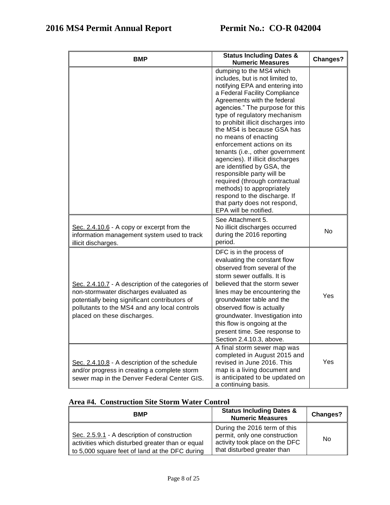| <b>BMP</b>                                                                                                                                                                                                                   | <b>Status Including Dates &amp;</b><br><b>Numeric Measures</b>                                                                                                                                                                                                                                                                                                                                                                                                                                                                                                                                                                                         | Changes?       |
|------------------------------------------------------------------------------------------------------------------------------------------------------------------------------------------------------------------------------|--------------------------------------------------------------------------------------------------------------------------------------------------------------------------------------------------------------------------------------------------------------------------------------------------------------------------------------------------------------------------------------------------------------------------------------------------------------------------------------------------------------------------------------------------------------------------------------------------------------------------------------------------------|----------------|
|                                                                                                                                                                                                                              | dumping to the MS4 which<br>includes, but is not limited to,<br>notifying EPA and entering into<br>a Federal Facility Compliance<br>Agreements with the federal<br>agencies." The purpose for this<br>type of regulatory mechanism<br>to prohibit illicit discharges into<br>the MS4 is because GSA has<br>no means of enacting<br>enforcement actions on its<br>tenants (i.e., other government<br>agencies). If illicit discharges<br>are identified by GSA, the<br>responsible party will be<br>required (through contractual<br>methods) to appropriately<br>respond to the discharge. If<br>that party does not respond,<br>EPA will be notified. |                |
| Sec. $2.4.10.6$ - A copy or excerpt from the<br>information management system used to track<br>illicit discharges.                                                                                                           | See Attachment 5.<br>No illicit discharges occurred<br>during the 2016 reporting<br>period.                                                                                                                                                                                                                                                                                                                                                                                                                                                                                                                                                            | N <sub>o</sub> |
| Sec. 2.4.10.7 - A description of the categories of<br>non-stormwater discharges evaluated as<br>potentially being significant contributors of<br>pollutants to the MS4 and any local controls<br>placed on these discharges. | DFC is in the process of<br>evaluating the constant flow<br>observed from several of the<br>storm sewer outfalls. It is<br>believed that the storm sewer<br>lines may be encountering the<br>groundwater table and the<br>observed flow is actually<br>groundwater. Investigation into<br>this flow is ongoing at the<br>present time. See response to<br>Section 2.4.10.3, above.                                                                                                                                                                                                                                                                     | Yes            |
| Sec. 2.4.10.8 - A description of the schedule<br>and/or progress in creating a complete storm<br>sewer map in the Denver Federal Center GIS.                                                                                 | A final storm sewer map was<br>completed in August 2015 and<br>revised in June 2016. This<br>map is a living document and<br>is anticipated to be updated on<br>a continuing basis.                                                                                                                                                                                                                                                                                                                                                                                                                                                                    | Yes            |

## **Area #4. Construction Site Storm Water Control**

| <b>BMP</b>                                                                                                                                         | <b>Status Including Dates &amp;</b><br><b>Numeric Measures</b>                                                                 | Changes? |
|----------------------------------------------------------------------------------------------------------------------------------------------------|--------------------------------------------------------------------------------------------------------------------------------|----------|
| Sec. 2.5.9.1 - A description of construction<br>activities which disturbed greater than or equal<br>to 5,000 square feet of land at the DFC during | During the 2016 term of this<br>permit, only one construction<br>activity took place on the DFC<br>that disturbed greater than | No.      |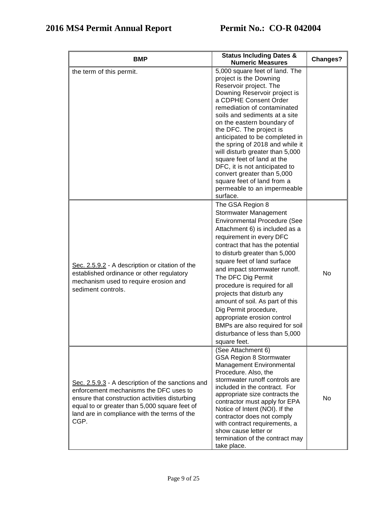| BMP                                                                                                                                                                                                                                                    | <b>Status Including Dates &amp;</b><br><b>Numeric Measures</b>                                                                                                                                                                                                                                                                                                                                                                                                                                                                                                | <b>Changes?</b> |
|--------------------------------------------------------------------------------------------------------------------------------------------------------------------------------------------------------------------------------------------------------|---------------------------------------------------------------------------------------------------------------------------------------------------------------------------------------------------------------------------------------------------------------------------------------------------------------------------------------------------------------------------------------------------------------------------------------------------------------------------------------------------------------------------------------------------------------|-----------------|
| the term of this permit.                                                                                                                                                                                                                               | 5,000 square feet of land. The<br>project is the Downing<br>Reservoir project. The<br>Downing Reservoir project is<br>a CDPHE Consent Order<br>remediation of contaminated<br>soils and sediments at a site<br>on the eastern boundary of<br>the DFC. The project is<br>anticipated to be completed in<br>the spring of 2018 and while it<br>will disturb greater than 5,000<br>square feet of land at the<br>DFC, it is not anticipated to<br>convert greater than 5,000<br>square feet of land from a<br>permeable to an impermeable<br>surface.            |                 |
| Sec. 2.5.9.2 - A description or citation of the<br>established ordinance or other regulatory<br>mechanism used to require erosion and<br>sediment controls.                                                                                            | The GSA Region 8<br><b>Stormwater Management</b><br><b>Environmental Procedure (See</b><br>Attachment 6) is included as a<br>requirement in every DFC<br>contract that has the potential<br>to disturb greater than 5,000<br>square feet of land surface<br>and impact stormwater runoff.<br>The DFC Dig Permit<br>procedure is required for all<br>projects that disturb any<br>amount of soil. As part of this<br>Dig Permit procedure,<br>appropriate erosion control<br>BMPs are also required for soil<br>disturbance of less than 5,000<br>square feet. | No              |
| Sec. 2.5.9.3 - A description of the sanctions and<br>enforcement mechanisms the DFC uses to<br>ensure that construction activities disturbing<br>equal to or greater than 5,000 square feet of<br>land are in compliance with the terms of the<br>CGP. | (See Attachment 6)<br><b>GSA Region 8 Stormwater</b><br>Management Environmental<br>Procedure. Also, the<br>stormwater runoff controls are<br>included in the contract. For<br>appropriate size contracts the<br>contractor must apply for EPA<br>Notice of Intent (NOI). If the<br>contractor does not comply<br>with contract requirements, a<br>show cause letter or<br>termination of the contract may<br>take place.                                                                                                                                     | No              |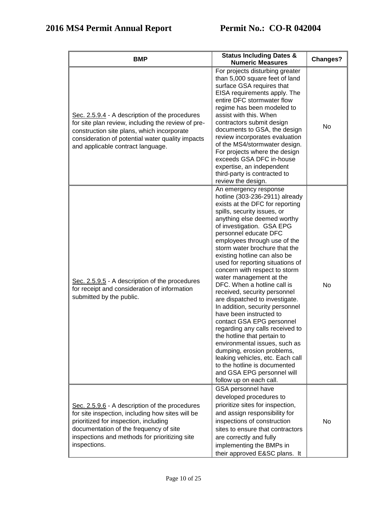| <b>BMP</b>                                                                                                                                                                                                                                             | <b>Status Including Dates &amp;</b><br><b>Numeric Measures</b>                                                                                                                                                                                                                                                                                                                                                                                                                                                                                                                                                                                                                                                                                                                                                                                                            | Changes? |
|--------------------------------------------------------------------------------------------------------------------------------------------------------------------------------------------------------------------------------------------------------|---------------------------------------------------------------------------------------------------------------------------------------------------------------------------------------------------------------------------------------------------------------------------------------------------------------------------------------------------------------------------------------------------------------------------------------------------------------------------------------------------------------------------------------------------------------------------------------------------------------------------------------------------------------------------------------------------------------------------------------------------------------------------------------------------------------------------------------------------------------------------|----------|
| Sec. 2.5.9.4 - A description of the procedures<br>for site plan review, including the review of pre-<br>construction site plans, which incorporate<br>consideration of potential water quality impacts<br>and applicable contract language.            | For projects disturbing greater<br>than 5,000 square feet of land<br>surface GSA requires that<br>EISA requirements apply. The<br>entire DFC stormwater flow<br>regime has been modeled to<br>assist with this. When<br>contractors submit design<br>documents to GSA, the design<br>review incorporates evaluation<br>of the MS4/stormwater design.<br>For projects where the design<br>exceeds GSA DFC in-house<br>expertise, an independent<br>third-party is contracted to<br>review the design.                                                                                                                                                                                                                                                                                                                                                                      | No       |
| Sec. 2.5.9.5 - A description of the procedures<br>for receipt and consideration of information<br>submitted by the public.                                                                                                                             | An emergency response<br>hotline (303-236-2911) already<br>exists at the DFC for reporting<br>spills, security issues, or<br>anything else deemed worthy<br>of investigation. GSA EPG<br>personnel educate DFC<br>employees through use of the<br>storm water brochure that the<br>existing hotline can also be<br>used for reporting situations of<br>concern with respect to storm<br>water management at the<br>DFC. When a hotline call is<br>received, security personnel<br>are dispatched to investigate.<br>In addition, security personnel<br>have been instructed to<br>contact GSA EPG personnel<br>regarding any calls received to<br>the hotline that pertain to<br>environmental issues, such as<br>dumping, erosion problems,<br>leaking vehicles, etc. Each call<br>to the hotline is documented<br>and GSA EPG personnel will<br>follow up on each call. | No       |
| Sec. 2.5.9.6 - A description of the procedures<br>for site inspection, including how sites will be<br>prioritized for inspection, including<br>documentation of the frequency of site<br>inspections and methods for prioritizing site<br>inspections. | GSA personnel have<br>developed procedures to<br>prioritize sites for inspection,<br>and assign responsibility for<br>inspections of construction<br>sites to ensure that contractors<br>are correctly and fully<br>implementing the BMPs in<br>their approved E&SC plans. It                                                                                                                                                                                                                                                                                                                                                                                                                                                                                                                                                                                             | No.      |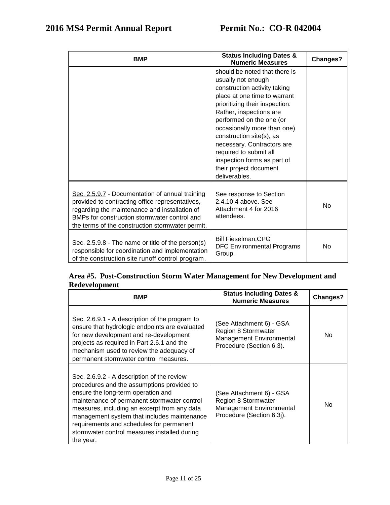| <b>BMP</b>                                                                                                                                                                                                                                              | <b>Status Including Dates &amp;</b><br><b>Numeric Measures</b>                                                                                                                                                                                                                                                                                                                                            | Changes?       |
|---------------------------------------------------------------------------------------------------------------------------------------------------------------------------------------------------------------------------------------------------------|-----------------------------------------------------------------------------------------------------------------------------------------------------------------------------------------------------------------------------------------------------------------------------------------------------------------------------------------------------------------------------------------------------------|----------------|
|                                                                                                                                                                                                                                                         | should be noted that there is<br>usually not enough<br>construction activity taking<br>place at one time to warrant<br>prioritizing their inspection.<br>Rather, inspections are<br>performed on the one (or<br>occasionally more than one)<br>construction site(s), as<br>necessary. Contractors are<br>required to submit all<br>inspection forms as part of<br>their project document<br>deliverables. |                |
| Sec. 2.5.9.7 - Documentation of annual training<br>provided to contracting office representatives,<br>regarding the maintenance and installation of<br>BMPs for construction stormwater control and<br>the terms of the construction stormwater permit. | See response to Section<br>2.4.10.4 above. See<br>Attachment 4 for 2016<br>attendees.                                                                                                                                                                                                                                                                                                                     | N <sub>o</sub> |
| Sec. $2.5.9.8$ - The name or title of the person(s)<br>responsible for coordination and implementation<br>of the construction site runoff control program.                                                                                              | <b>Bill Fieselman, CPG</b><br><b>DFC Environmental Programs</b><br>Group.                                                                                                                                                                                                                                                                                                                                 | N <sub>o</sub> |

## **Area #5. Post-Construction Storm Water Management for New Development and Redevelopment**

| <b>BMP</b>                                                                                                                                                                                                                                                                                                                                                                            | <b>Status Including Dates &amp;</b><br><b>Numeric Measures</b>                                          | <b>Changes?</b> |
|---------------------------------------------------------------------------------------------------------------------------------------------------------------------------------------------------------------------------------------------------------------------------------------------------------------------------------------------------------------------------------------|---------------------------------------------------------------------------------------------------------|-----------------|
| Sec. 2.6.9.1 - A description of the program to<br>ensure that hydrologic endpoints are evaluated<br>for new development and re-development<br>projects as required in Part 2.6.1 and the<br>mechanism used to review the adequacy of<br>permanent stormwater control measures.                                                                                                        | See Attachment 6) - GSA<br>Region 8 Stormwater<br>Management Environmental<br>Procedure (Section 6.3).  | No.             |
| Sec. 2.6.9.2 - A description of the review<br>procedures and the assumptions provided to<br>ensure the long-term operation and<br>maintenance of permanent stormwater control<br>measures, including an excerpt from any data<br>management system that includes maintenance<br>requirements and schedules for permanent<br>stormwater control measures installed during<br>the year. | See Attachment 6) - GSA<br>Region 8 Stormwater<br>Management Environmental<br>Procedure (Section 6.3j). | No              |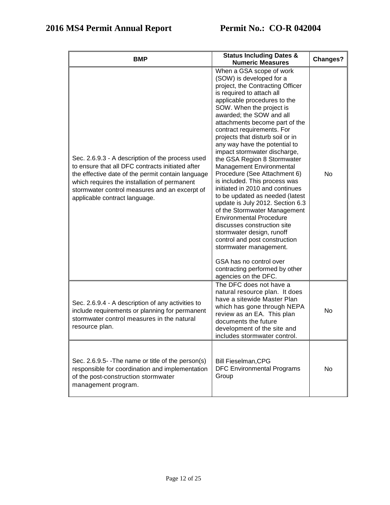| BMP                                                                                                                                                                                                                                                                                         | <b>Status Including Dates &amp;</b><br><b>Numeric Measures</b>                                                                                                                                                                                                                                                                                                                                                                                                                                                                                                                                                                                                                                                                                                                                                                                                                                         | <b>Changes?</b> |
|---------------------------------------------------------------------------------------------------------------------------------------------------------------------------------------------------------------------------------------------------------------------------------------------|--------------------------------------------------------------------------------------------------------------------------------------------------------------------------------------------------------------------------------------------------------------------------------------------------------------------------------------------------------------------------------------------------------------------------------------------------------------------------------------------------------------------------------------------------------------------------------------------------------------------------------------------------------------------------------------------------------------------------------------------------------------------------------------------------------------------------------------------------------------------------------------------------------|-----------------|
| Sec. 2.6.9.3 - A description of the process used<br>to ensure that all DFC contracts initiated after<br>the effective date of the permit contain language<br>which requires the installation of permanent<br>stormwater control measures and an excerpt of<br>applicable contract language. | When a GSA scope of work<br>(SOW) is developed for a<br>project, the Contracting Officer<br>is required to attach all<br>applicable procedures to the<br>SOW. When the project is<br>awarded; the SOW and all<br>attachments become part of the<br>contract requirements. For<br>projects that disturb soil or in<br>any way have the potential to<br>impact stormwater discharge,<br>the GSA Region 8 Stormwater<br>Management Environmental<br>Procedure (See Attachment 6)<br>is included. This process was<br>initiated in 2010 and continues<br>to be updated as needed (latest<br>update is July 2012. Section 6.3<br>of the Stormwater Management<br><b>Environmental Procedure</b><br>discusses construction site<br>stormwater design, runoff<br>control and post construction<br>stormwater management.<br>GSA has no control over<br>contracting performed by other<br>agencies on the DFC. | No              |
| Sec. 2.6.9.4 - A description of any activities to<br>include requirements or planning for permanent<br>stormwater control measures in the natural<br>resource plan.                                                                                                                         | The DFC does not have a<br>natural resource plan. It does<br>have a sitewide Master Plan<br>which has gone through NEPA<br>review as an EA. This plan<br>documents the future<br>development of the site and<br>includes stormwater control.                                                                                                                                                                                                                                                                                                                                                                                                                                                                                                                                                                                                                                                           | No              |
| Sec. 2.6.9.5 - The name or title of the person(s)<br>responsible for coordination and implementation<br>of the post-construction stormwater<br>management program.                                                                                                                          | <b>Bill Fieselman, CPG</b><br><b>DFC Environmental Programs</b><br>Group                                                                                                                                                                                                                                                                                                                                                                                                                                                                                                                                                                                                                                                                                                                                                                                                                               | No              |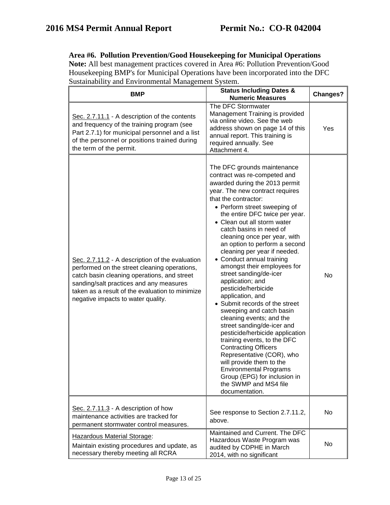## **Area #6. Pollution Prevention/Good Housekeeping for Municipal Operations**

**Note:** All best management practices covered in Area #6: Pollution Prevention/Good Housekeeping BMP's for Municipal Operations have been incorporated into the DFC Sustainability and Environmental Management System.

| разшишени у ана Ентириппенца тианадентент рузкени.<br><b>BMP</b>                                                                                                                                                                                                                   | <b>Status Including Dates &amp;</b><br><b>Numeric Measures</b>                                                                                                                                                                                                                                                                                                                                                                                                                                                                                                                                                                                                                                                                                                                                                                                                                                                                           | <b>Changes?</b> |
|------------------------------------------------------------------------------------------------------------------------------------------------------------------------------------------------------------------------------------------------------------------------------------|------------------------------------------------------------------------------------------------------------------------------------------------------------------------------------------------------------------------------------------------------------------------------------------------------------------------------------------------------------------------------------------------------------------------------------------------------------------------------------------------------------------------------------------------------------------------------------------------------------------------------------------------------------------------------------------------------------------------------------------------------------------------------------------------------------------------------------------------------------------------------------------------------------------------------------------|-----------------|
| Sec. 2.7.11.1 - A description of the contents<br>and frequency of the training program (see<br>Part 2.7.1) for municipal personnel and a list<br>of the personnel or positions trained during<br>the term of the permit.                                                           | The DFC Stormwater<br>Management Training is provided<br>via online video. See the web<br>address shown on page 14 of this<br>annual report. This training is<br>required annually. See<br>Attachment 4.                                                                                                                                                                                                                                                                                                                                                                                                                                                                                                                                                                                                                                                                                                                                 | Yes             |
| Sec. 2.7.11.2 - A description of the evaluation<br>performed on the street cleaning operations,<br>catch basin cleaning operations, and street<br>sanding/salt practices and any measures<br>taken as a result of the evaluation to minimize<br>negative impacts to water quality. | The DFC grounds maintenance<br>contract was re-competed and<br>awarded during the 2013 permit<br>year. The new contract requires<br>that the contractor:<br>• Perform street sweeping of<br>the entire DFC twice per year.<br>• Clean out all storm water<br>catch basins in need of<br>cleaning once per year, with<br>an option to perform a second<br>cleaning per year if needed.<br>• Conduct annual training<br>amongst their employees for<br>street sanding/de-icer<br>application; and<br>pesticide/herbicide<br>application, and<br>• Submit records of the street<br>sweeping and catch basin<br>cleaning events; and the<br>street sanding/de-icer and<br>pesticide/herbicide application<br>training events, to the DFC<br><b>Contracting Officers</b><br>Representative (COR), who<br>will provide them to the<br><b>Environmental Programs</b><br>Group (EPG) for inclusion in<br>the SWMP and MS4 file<br>documentation. | <b>No</b>       |
| Sec. 2.7.11.3 - A description of how<br>maintenance activities are tracked for<br>permanent stormwater control measures.                                                                                                                                                           | See response to Section 2.7.11.2,<br>above.                                                                                                                                                                                                                                                                                                                                                                                                                                                                                                                                                                                                                                                                                                                                                                                                                                                                                              | <b>No</b>       |
| Hazardous Material Storage:<br>Maintain existing procedures and update, as<br>necessary thereby meeting all RCRA                                                                                                                                                                   | Maintained and Current. The DFC<br>Hazardous Waste Program was<br>audited by CDPHE in March<br>2014, with no significant                                                                                                                                                                                                                                                                                                                                                                                                                                                                                                                                                                                                                                                                                                                                                                                                                 | No.             |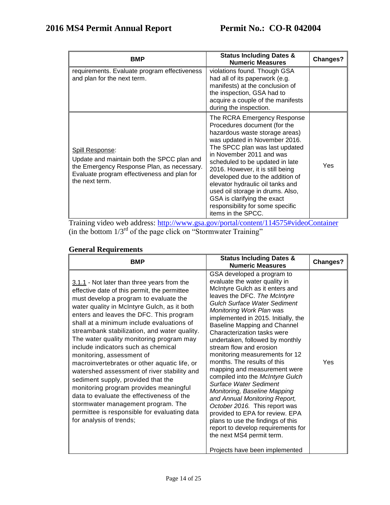| <b>BMP</b>                                                                                                                                                                                 | <b>Status Including Dates &amp;</b><br><b>Numeric Measures</b>                                                                                                                                                                                                                                                                                                                                                                                                           | <b>Changes?</b> |
|--------------------------------------------------------------------------------------------------------------------------------------------------------------------------------------------|--------------------------------------------------------------------------------------------------------------------------------------------------------------------------------------------------------------------------------------------------------------------------------------------------------------------------------------------------------------------------------------------------------------------------------------------------------------------------|-----------------|
| requirements. Evaluate program effectiveness<br>and plan for the next term.                                                                                                                | violations found. Though GSA<br>had all of its paperwork (e.g.<br>manifests) at the conclusion of<br>the inspection, GSA had to<br>acquire a couple of the manifests<br>during the inspection.                                                                                                                                                                                                                                                                           |                 |
| <b>Spill Response:</b><br>Update and maintain both the SPCC plan and<br>the Emergency Response Plan, as necessary.<br>Evaluate program effectiveness and plan for<br>the next term.<br>. . | The RCRA Emergency Response<br>Procedures document (for the<br>hazardous waste storage areas)<br>was updated in November 2016.<br>The SPCC plan was last updated<br>in November 2011 and was<br>scheduled to be updated in late<br>2016. However, it is still being<br>developed due to the addition of<br>elevator hydraulic oil tanks and<br>used oil storage in drums. Also,<br>GSA is clarifying the exact<br>responsibility for some specific<br>items in the SPCC. | Yes             |

Training video web address:<http://www.gsa.gov/portal/content/114575#videoContainer>  $\frac{1}{3}$  (in the bottom  $1/3$ <sup>rd</sup> of the page click on "Stormwater Training"

## **General Requirements**

| <b>BMP</b>                                                                                                                                                                                                                                                                                                                                                                                                                                                                                                                                                                                                                                                                                                                                                                                | <b>Status Including Dates &amp;</b><br><b>Numeric Measures</b>                                                                                                                                                                                                                                                                                                                                                                                                                                                                                                                                                                                                                                                                                                                                                      | Changes? |
|-------------------------------------------------------------------------------------------------------------------------------------------------------------------------------------------------------------------------------------------------------------------------------------------------------------------------------------------------------------------------------------------------------------------------------------------------------------------------------------------------------------------------------------------------------------------------------------------------------------------------------------------------------------------------------------------------------------------------------------------------------------------------------------------|---------------------------------------------------------------------------------------------------------------------------------------------------------------------------------------------------------------------------------------------------------------------------------------------------------------------------------------------------------------------------------------------------------------------------------------------------------------------------------------------------------------------------------------------------------------------------------------------------------------------------------------------------------------------------------------------------------------------------------------------------------------------------------------------------------------------|----------|
| 3.1.1 - Not later than three years from the<br>effective date of this permit, the permittee<br>must develop a program to evaluate the<br>water quality in McIntyre Gulch, as it both<br>enters and leaves the DFC. This program<br>shall at a minimum include evaluations of<br>streambank stabilization, and water quality.<br>The water quality monitoring program may<br>include indicators such as chemical<br>monitoring, assessment of<br>macroinvertebrates or other aquatic life, or<br>watershed assessment of river stability and<br>sediment supply, provided that the<br>monitoring program provides meaningful<br>data to evaluate the effectiveness of the<br>stormwater management program. The<br>permittee is responsible for evaluating data<br>for analysis of trends; | GSA developed a program to<br>evaluate the water quality in<br>McIntyre Gulch as it enters and<br>leaves the DFC. The McIntyre<br><b>Gulch Surface Water Sediment</b><br>Monitoring Work Plan was<br>implemented in 2015. Initially, the<br>Baseline Mapping and Channel<br>Characterization tasks were<br>undertaken, followed by monthly<br>stream flow and erosion<br>monitoring measurements for 12<br>months. The results of this<br>mapping and measurement were<br>compiled into the McIntyre Gulch<br>Surface Water Sediment<br>Monitoring, Baseline Mapping<br>and Annual Monitoring Report,<br>October 2016. This report was<br>provided to EPA for review. EPA<br>plans to use the findings of this<br>report to develop requirements for<br>the next MS4 permit term.<br>Projects have been implemented | Yes      |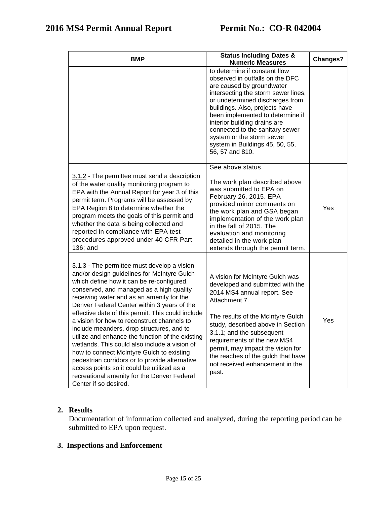| <b>BMP</b>                                                                                                                                                                                                                                                                                                                                                                                                                                                                                                                                                                                                                                                                                                                                                 | <b>Status Including Dates &amp;</b><br><b>Numeric Measures</b>                                                                                                                                                                                                                                                                                                                                      | <b>Changes?</b> |
|------------------------------------------------------------------------------------------------------------------------------------------------------------------------------------------------------------------------------------------------------------------------------------------------------------------------------------------------------------------------------------------------------------------------------------------------------------------------------------------------------------------------------------------------------------------------------------------------------------------------------------------------------------------------------------------------------------------------------------------------------------|-----------------------------------------------------------------------------------------------------------------------------------------------------------------------------------------------------------------------------------------------------------------------------------------------------------------------------------------------------------------------------------------------------|-----------------|
|                                                                                                                                                                                                                                                                                                                                                                                                                                                                                                                                                                                                                                                                                                                                                            | to determine if constant flow<br>observed in outfalls on the DFC<br>are caused by groundwater<br>intersecting the storm sewer lines,<br>or undetermined discharges from<br>buildings. Also, projects have<br>been implemented to determine if<br>interior building drains are<br>connected to the sanitary sewer<br>system or the storm sewer<br>system in Buildings 45, 50, 55,<br>56, 57 and 810. |                 |
| 3.1.2 - The permittee must send a description<br>of the water quality monitoring program to<br>EPA with the Annual Report for year 3 of this<br>permit term. Programs will be assessed by<br>EPA Region 8 to determine whether the<br>program meets the goals of this permit and<br>whether the data is being collected and<br>reported in compliance with EPA test<br>procedures approved under 40 CFR Part<br>136; and                                                                                                                                                                                                                                                                                                                                   | See above status.<br>The work plan described above<br>was submitted to EPA on<br>February 26, 2015. EPA<br>provided minor comments on<br>the work plan and GSA began<br>implementation of the work plan<br>in the fall of 2015. The<br>evaluation and monitoring<br>detailed in the work plan<br>extends through the permit term.                                                                   | Yes             |
| 3.1.3 - The permittee must develop a vision<br>and/or design guidelines for McIntyre Gulch<br>which define how it can be re-configured,<br>conserved, and managed as a high quality<br>receiving water and as an amenity for the<br>Denver Federal Center within 3 years of the<br>effective date of this permit. This could include<br>a vision for how to reconstruct channels to<br>include meanders, drop structures, and to<br>utilize and enhance the function of the existing<br>wetlands. This could also include a vision of<br>how to connect McIntyre Gulch to existing<br>pedestrian corridors or to provide alternative<br>access points so it could be utilized as a<br>recreational amenity for the Denver Federal<br>Center if so desired. | A vision for McIntyre Gulch was<br>developed and submitted with the<br>2014 MS4 annual report. See<br>Attachment 7.<br>The results of the McIntyre Gulch<br>study, described above in Section<br>3.1.1; and the subsequent<br>requirements of the new MS4<br>permit, may impact the vision for<br>the reaches of the gulch that have<br>not received enhancement in the<br>past.                    | Yes             |

## **2. Results**

Documentation of information collected and analyzed, during the reporting period can be submitted to EPA upon request.

## **3. Inspections and Enforcement**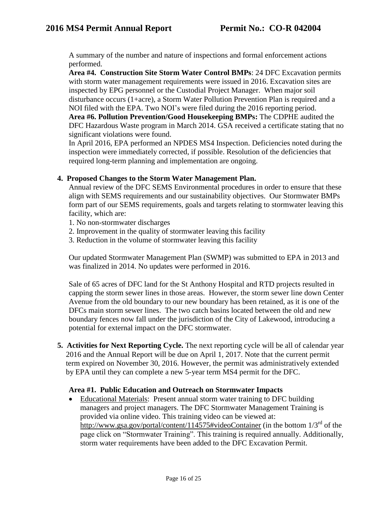A summary of the number and nature of inspections and formal enforcement actions performed.

**Area #4. Construction Site Storm Water Control BMPs**: 24 DFC Excavation permits with storm water management requirements were issued in 2016. Excavation sites are inspected by EPG personnel or the Custodial Project Manager. When major soil disturbance occurs (1+acre), a Storm Water Pollution Prevention Plan is required and a NOI filed with the EPA. Two NOI's were filed during the 2016 reporting period. **Area #6. Pollution Prevention/Good Housekeeping BMPs:** The CDPHE audited the DFC Hazardous Waste program in March 2014. GSA received a certificate stating that no significant violations were found.

In April 2016, EPA performed an NPDES MS4 Inspection. Deficiencies noted during the inspection were immediately corrected, if possible. Resolution of the deficiencies that required long-term planning and implementation are ongoing.

### **4. Proposed Changes to the Storm Water Management Plan.**

Annual review of the DFC SEMS Environmental procedures in order to ensure that these align with SEMS requirements and our sustainability objectives. Our Stormwater BMPs form part of our SEMS requirements, goals and targets relating to stormwater leaving this facility, which are:

- 1. No non-stormwater discharges
- 2. Improvement in the quality of stormwater leaving this facility
- 3. Reduction in the volume of stormwater leaving this facility

Our updated Stormwater Management Plan (SWMP) was submitted to EPA in 2013 and was finalized in 2014. No updates were performed in 2016.

Sale of 65 acres of DFC land for the St Anthony Hospital and RTD projects resulted in capping the storm sewer lines in those areas. However, the storm sewer line down Center Avenue from the old boundary to our new boundary has been retained, as it is one of the DFCs main storm sewer lines. The two catch basins located between the old and new boundary fences now fall under the jurisdiction of the City of Lakewood, introducing a potential for external impact on the DFC stormwater.

**5. Activities for Next Reporting Cycle.** The next reporting cycle will be all of calendar year 2016 and the Annual Report will be due on April 1, 2017. Note that the current permit term expired on November 30, 2016. However, the permit was administratively extended by EPA until they can complete a new 5-year term MS4 permit for the DFC.

#### **Area #1. Public Education and Outreach on Stormwater Impacts**

 Educational Materials: Present annual storm water training to DFC building managers and project managers. The DFC Stormwater Management Training is provided via online video. This training video can be viewed at: <http://www.gsa.gov/portal/content/114575#videoContainer> (in the bottom  $1/3^{rd}$  of the page click on "Stormwater Training". This training is required annually. Additionally, storm water requirements have been added to the DFC Excavation Permit.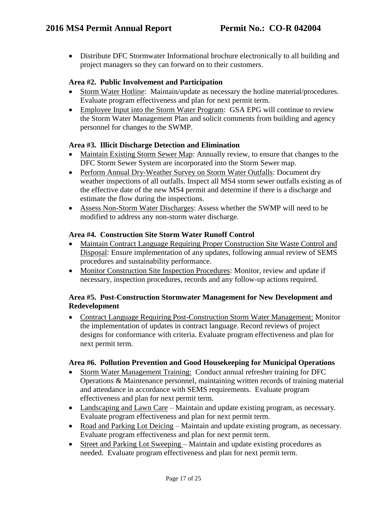Distribute DFC Stormwater Informational brochure electronically to all building and project managers so they can forward on to their customers.

### **Area #2. Public Involvement and Participation**

- Storm Water Hotline: Maintain/update as necessary the hotline material/procedures. Evaluate program effectiveness and plan for next permit term.
- Employee Input into the Storm Water Program: GSA EPG will continue to review the Storm Water Management Plan and solicit comments from building and agency personnel for changes to the SWMP.

#### **Area #3. Illicit Discharge Detection and Elimination**

- Maintain Existing Storm Sewer Map: Annually review, to ensure that changes to the DFC Storm Sewer System are incorporated into the Storm Sewer map.
- Perform Annual Dry-Weather Survey on Storm Water Outfalls: Document dry weather inspections of all outfalls. Inspect all MS4 storm sewer outfalls existing as of the effective date of the new MS4 permit and determine if there is a discharge and estimate the flow during the inspections.
- Assess Non-Storm Water Discharges: Assess whether the SWMP will need to be modified to address any non-storm water discharge.

#### **Area #4. Construction Site Storm Water Runoff Control**

- Maintain Contract Language Requiring Proper Construction Site Waste Control and Disposal: Ensure implementation of any updates, following annual review of SEMS procedures and sustainability performance.
- Monitor Construction Site Inspection Procedures: Monitor, review and update if necessary, inspection procedures, records and any follow-up actions required.

### **Area #5. Post-Construction Stormwater Management for New Development and Redevelopment**

 Contract Language Requiring Post-Construction Storm Water Management: Monitor the implementation of updates in contract language. Record reviews of project designs for conformance with criteria. Evaluate program effectiveness and plan for next permit term.

#### **Area #6. Pollution Prevention and Good Housekeeping for Municipal Operations**

- Storm Water Management Training: Conduct annual refresher training for DFC Operations & Maintenance personnel, maintaining written records of training material and attendance in accordance with SEMS requirements. Evaluate program effectiveness and plan for next permit term.
- Landscaping and Lawn Care Maintain and update existing program, as necessary. Evaluate program effectiveness and plan for next permit term.
- Road and Parking Lot Deicing Maintain and update existing program, as necessary. Evaluate program effectiveness and plan for next permit term.
- Street and Parking Lot Sweeping Maintain and update existing procedures as needed. Evaluate program effectiveness and plan for next permit term.